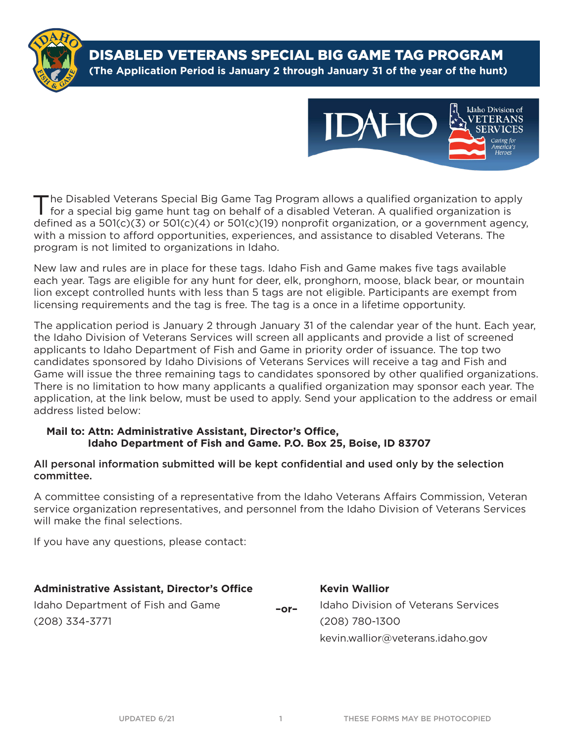

DISABLED VETERANS SPECIAL BIG GAME TAG PROGRAM **(The Application Period is January 2 through January 31 of the year of the hunt)**



The Disabled Veterans Special Big Game Tag Program allows a qualified organization to apply for a special big game hunt tag on behalf of a disabled Veteran. A qualified organization is defined as a 501(c)(3) or 501(c)(4) or 501(c)(19) nonprofit organization, or a government agency, with a mission to afford opportunities, experiences, and assistance to disabled Veterans. The program is not limited to organizations in Idaho.

New law and rules are in place for these tags. Idaho Fish and Game makes five tags available each year. Tags are eligible for any hunt for deer, elk, pronghorn, moose, black bear, or mountain lion except controlled hunts with less than 5 tags are not eligible. Participants are exempt from licensing requirements and the tag is free. The tag is a once in a lifetime opportunity.

The application period is January 2 through January 31 of the calendar year of the hunt. Each year, the Idaho Division of Veterans Services will screen all applicants and provide a list of screened applicants to Idaho Department of Fish and Game in priority order of issuance. The top two candidates sponsored by Idaho Divisions of Veterans Services will receive a tag and Fish and Game will issue the three remaining tags to candidates sponsored by other qualified organizations. There is no limitation to how many applicants a qualified organization may sponsor each year. The application, at the link below, must be used to apply. Send your application to the address or email address listed below:

#### **Mail to: Attn: Administrative Assistant, Director's Office, Idaho Department of Fish and Game. P.O. Box 25, Boise, ID 83707**

#### All personal information submitted will be kept confidential and used only by the selection committee.

A committee consisting of a representative from the Idaho Veterans Affairs Commission, Veteran service organization representatives, and personnel from the Idaho Division of Veterans Services will make the final selections.

If you have any questions, please contact:

| <b>Administrative Assistant, Director's Office</b> |        | <b>Kevin Wallior</b>                |  |
|----------------------------------------------------|--------|-------------------------------------|--|
| Idaho Department of Fish and Game                  | $-0r-$ | Idaho Division of Veterans Services |  |
| (208) 334-3771                                     |        | (208) 780-1300                      |  |
|                                                    |        | kevin.wallior@veterans.idaho.gov    |  |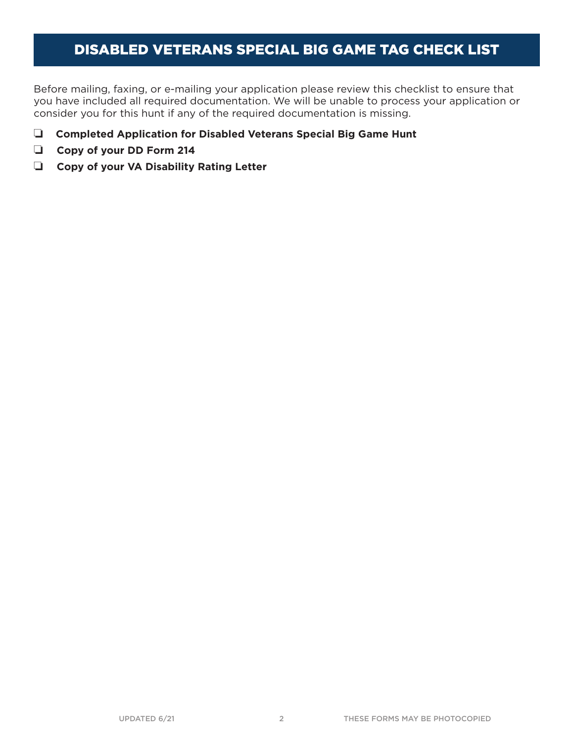# DISABLED VETERANS SPECIAL BIG GAME TAG CHECK LIST

Before mailing, faxing, or e-mailing your application please review this checklist to ensure that you have included all required documentation. We will be unable to process your application or consider you for this hunt if any of the required documentation is missing.

- **Q** Completed Application for Disabled Veterans Special Big Game Hunt
- Copy of your DD Form 214
- **Copy of your VA Disability Rating Letter**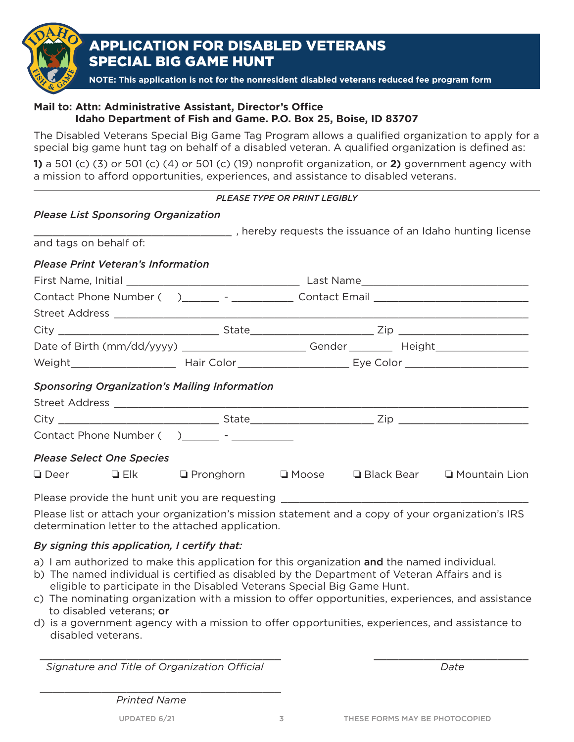

## APPLICATION FOR DISABLED VETERANS SPECIAL BIG GAME HUNT

**NOTE: This application is not for the nonresident disabled veterans reduced fee program form**

## **Mail to: Attn: Administrative Assistant, Director's Office Idaho Department of Fish and Game. P.O. Box 25, Boise, ID 83707**

The Disabled Veterans Special Big Game Tag Program allows a qualified organization to apply for a special big game hunt tag on behalf of a disabled veteran. A qualified organization is defined as:

**1)** a 501 (c) (3) or 501 (c) (4) or 501 (c) (19) nonprofit organization, or **2)** government agency with a mission to afford opportunities, experiences, and assistance to disabled veterans.

|                                                                              | <b>PLEASE TYPE OR PRINT LEGIBLY</b> |  |  |  |  |
|------------------------------------------------------------------------------|-------------------------------------|--|--|--|--|
| <b>Please List Sponsoring Organization</b>                                   |                                     |  |  |  |  |
|                                                                              |                                     |  |  |  |  |
| and tags on behalf of:                                                       |                                     |  |  |  |  |
| <b>Please Print Veteran's Information</b>                                    |                                     |  |  |  |  |
|                                                                              |                                     |  |  |  |  |
|                                                                              |                                     |  |  |  |  |
|                                                                              |                                     |  |  |  |  |
|                                                                              |                                     |  |  |  |  |
|                                                                              |                                     |  |  |  |  |
|                                                                              |                                     |  |  |  |  |
| <b>Sponsoring Organization's Mailing Information</b>                         |                                     |  |  |  |  |
|                                                                              |                                     |  |  |  |  |
|                                                                              |                                     |  |  |  |  |
| Contact Phone Number () ________ - __________                                |                                     |  |  |  |  |
| <b>Please Select One Species</b>                                             |                                     |  |  |  |  |
| □ Deer •• □ Elk •• □ Pronghorn •• □ Moose •• □ Black Bear •• □ Mountain Lion |                                     |  |  |  |  |
| 그는 어디에 가장 없는 사람들은 그 사람들을 하고 있다. 이 사람들은 사람들은 사람들의 사람들을 지키고 있다.                |                                     |  |  |  |  |

Please provide the hunt unit you are requesting

Please list or attach your organization's mission statement and a copy of your organization's IRS determination letter to the attached application.

#### *By signing this application, I certify that:*

- a) I am authorized to make this application for this organization and the named individual.
- b) The named individual is certified as disabled by the Department of Veteran Affairs and is eligible to participate in the Disabled Veterans Special Big Game Hunt.
- c) The nominating organization with a mission to offer opportunities, experiences, and assistance to disabled veterans; or
- d) is a government agency with a mission to offer opportunities, experiences, and assistance to disabled veterans.

\_\_\_\_\_\_\_\_\_\_\_\_\_\_\_\_\_\_\_\_\_\_\_\_\_\_\_\_\_\_\_\_\_\_\_\_\_\_\_ \_\_\_\_\_\_\_\_\_\_\_\_\_\_\_\_\_\_\_\_\_\_\_\_\_ *Signature and Title of Organization Official Date*

\_\_\_\_\_\_\_\_\_\_\_\_\_\_\_\_\_\_\_\_\_\_\_\_\_\_\_\_\_\_\_\_\_\_\_\_\_\_\_ *Printed Name*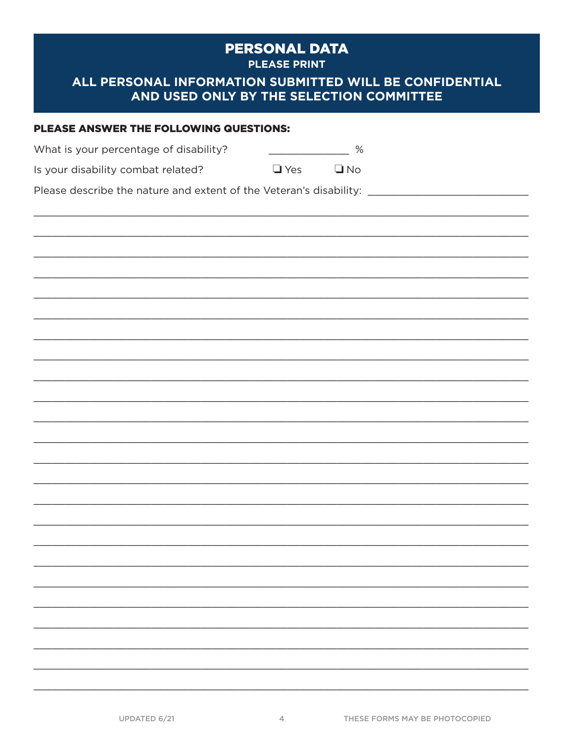## **PERSONAL DATA**

**PLEASE PRINT** 

## ALL PERSONAL INFORMATION SUBMITTED WILL BE CONFIDENTIAL AND USED ONLY BY THE SELECTION COMMITTEE

# PLEASE ANSWER THE FOLLOWING QUESTIONS:  $\begin{array}{c|c} \hline \begin{array}{ccc} \text{---} & \text{---} & \end{array} \end{array}$ What is your percentage of disability? Is your disability combat related?  $\Box$  Yes  $\n **Q** No$ Please describe the nature and extent of the Veteran's disability:

 $\overline{4}$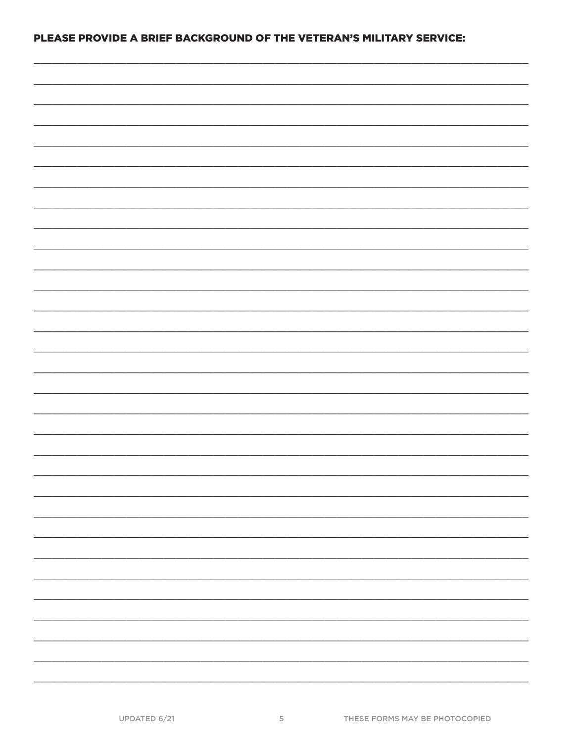#### PLEASE PROVIDE A BRIEF BACKGROUND OF THE VETERAN'S MILITARY SERVICE: